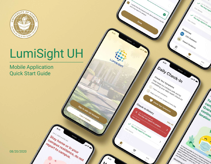

# LumiSight UH

 $9.97$ 

report to campus.

**Stay hope Stay** 

Stay home or in your

Stay home of in your

I certify that the answers to the above questions are NO

certify that the answers to the

LUMISIGHT

Sign In with UH Account

 $9.97$ 

I am a Visitor

**Trou may report** Aun 10, 2020 at 9

View Details

View Details

CDC Guidance

 $\frac{1}{\sqrt{2}}$ 

If may be possible for you to report to campus for the form of the first of the form of the form of the form of the form of the form of the form of the form of the form of the form of the form of the form of the form of th

To the American in the Town of Charles Community of the South of the Charles Community of the Charles Charles Charles Charles Charles Charles Charles Charles Charles Charles Charles Charles Charles Charles Charles Charles VH Mo Vir Bosble for you to engage Mustroamed Philosopher Construction of the South of the Manufacture of the Manufacture of the Manufacture of the Manufacture of the Manufacture of the Manufacture of the Manufacture of the Manufacture of the Manufacture of Including if you are

Disclaimer s

 $r_{o}$ 

cam

Quara continu

location

Hawai'i Guidance

Resources  $\odot$ 

Q

 $9:q_7$ 

Check Your Symptoms

Maring your campions

Check your symptoms every day.

Check Your Symptoms every

Check-in History

View In 2020 at 9:30 AM Sun 11, 2020 at 9:30 AM

H You in succession to campus

Check Your Symptoms

Help keep our symptoms<br>To check your campus safe and by

View All

Daily Check-In

**Sou may report to camp** 

Mobile Application Quick Start Guide

08/20/2020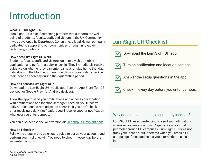# Introduction

#### What is LumiSight UH?

LumiSight UH is a self-screening platform that supports the wellbeing of students, faculty, staff, and visitors in the UH Community. It was developed by DataHouse Consulting, a local Hawaii company dedicated to supporting our communities through innovative technology solutions.

#### How does LumiSight UH work?

Students, faculty, staff, and visitors log in to a web or mobile application and perform a quick check-in. They immediately receive guidance on whether they can enter campus or stay home that day. Individuals in the Modified Quarantine (MQ) Program also check in their location each day during their quarantine period.

#### How do I access LumiSight UH?

Download the LumiSight UH mobile app from the App Store (for iOS devices) or Google Play (for Android devices).

Allow the app to send you notifications and access your location. With notifications and location settings turned on, you'll receive daily notifications to remind you to check in. If you don't check in after receiving a daily notification, you'll receive another notification whenever you enter campus.

You can also access the web version at: [uh.campus.lumisight.com](https://uh.campus.lumisight.com/)

#### How do I check in?

Follow the steps in this quick start guide to set up your account and perform your first check-in. You need to check in every day before you enter campus.

### LumiSight UH Checklist



Download the LumiSight UH app.



Turn on notification and location settings.



Answer the setup questions in the app.



Check in every day before you enter campus.

### Why does the app need to access my location?

LumiSight UH uses geofencing to send you notifications whenever you enter campus. A geofence is a virtual perimeter around UH campuses. LumiSight UH does not track your location, but it detects when you cross a UH campus geofence and sends you a reminder to check in.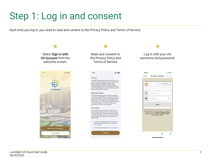### Step 1: Log in and consent

Each time you log in, you need to read and content to the Privacy Policy and Terms of Service.



### Read and consent to the Privacy Policy and Terms of Service.

#### $9:41$  $\ln 3 =$ Purpose LumiSight UH provides an easy method for you to provide a daily self-attestation of your health status prior to coming on to any UH campus. Daily<br>self-attestation of individual health is strongly recommended by the CDC as an integral part of an institutional strategy to support and encourage safe behavior by the UH community **Information Sharing** This app is designed by the University of Hawaii in partnership with DataHouse. Authorized individuals from the University of Hawaii and DataHouse have access to the information you enter, subject to the Privacy Policy. Your information will NOT be used for commercial purposes, nor any other purposes inconsistent with the Purpose (above). **Your Consent** By checking the boxes below, you consent to our using the personal information we collect through your use of this app in the way we have described. For more information about how we use and share personal information about you, please see our Privacy Policy.

I consent to the processing of my personal data as set forth in this consent and in the Privacy Policy.

I have read and accept the Terms of Service.

I Consent

Log in with your UH username and password.

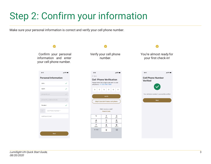# Step 2: Confirm your information

Make sure your personal information is correct and verify your cell phone number.

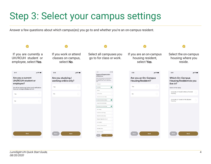## Step 3: Select your campus settings

Answer a few questions about which campus(es) you go to and whether you're an on-campus resident.

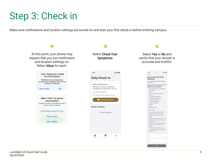### Step 3: Check in

Make sure notifications and location settings are turned on and start your first check-in before entering campus.

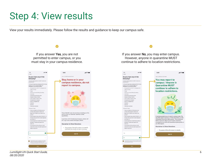### Step 4: View results

View your results immediately. Please follow the results and guidance to keep our campus safe.



LumiSight UH Quick Start Guide, 08/20/2020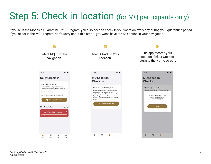# Step 5: Check in location (for MQ participants only)

If you're in the Modified Quarantine (MQ) Program, you also need to check in your location every day during your quarantine period. If you're not in the MQ Program, don't worry about this step – you won't have the MQ option in your navigation.

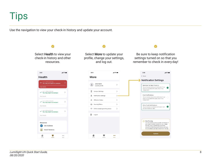Tips

Use the navigation to view your check-in history and update your account.